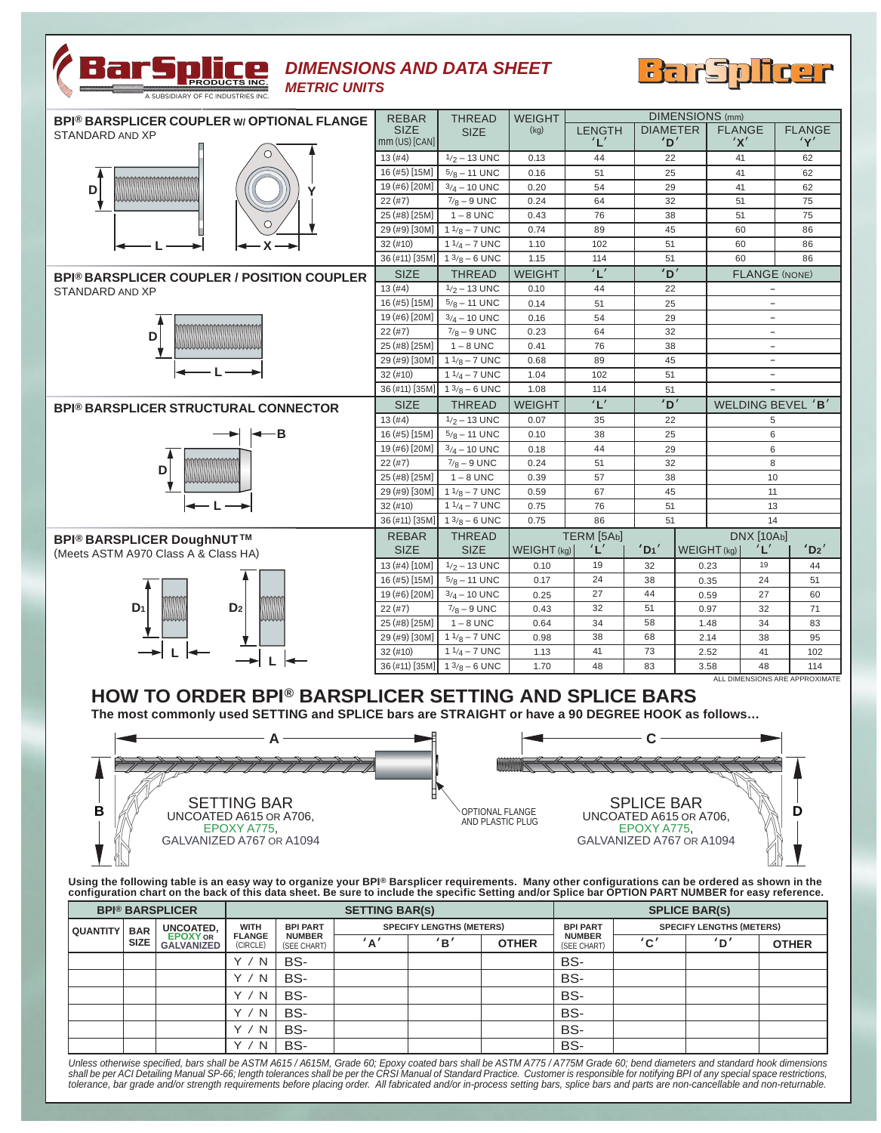

## *DIMENSIONS AND DATA SHEET METRIC UNITS*



| <b>BPI® BARSPLICER COUPLER W/ OPTIONAL FLANGE</b> | <b>REBAR</b>    | <b>THREAD</b>                            | <b>WEIGHT</b> | <b>DIMENSIONS</b> (mm) |                 |                   |                                |               |
|---------------------------------------------------|-----------------|------------------------------------------|---------------|------------------------|-----------------|-------------------|--------------------------------|---------------|
| STANDARD AND XP                                   | <b>SIZE</b>     | <b>SIZE</b>                              | (kg)          | <b>LENGTH</b>          | <b>DIAMETER</b> |                   | <b>FLANGE</b>                  | <b>FLANGE</b> |
|                                                   | $mm (US)$ [CAN] |                                          |               | 'L'                    | 'D'             |                   | 'X'                            | 'Y'           |
|                                                   | 13(#4)          | $1/2 - 13$ UNC                           | 0.13          | 44                     | 22              |                   | 41                             | 62            |
|                                                   | 16 (#5) [15M]   | $5/8 - 11$ UNC                           | 0.16          | 51                     | 25              |                   | 41                             | 62            |
| D                                                 | 19 (#6) [20M]   | $3/4 - 10$ UNC                           | 0.20          | 54                     | 29              |                   | 41                             | 62            |
|                                                   | 22(#7)          | $7/8 - 9$ UNC                            | 0.24          | 64                     | 32              |                   | 51                             | 75            |
|                                                   | 25 (#8) [25M]   | $1 - 8$ UNC                              | 0.43          | 76                     | 38              |                   | 51                             | 75            |
|                                                   | 29 (#9) [30M]   | $11/8 - 7$ UNC                           | 0.74          | 89                     | 45              |                   | 60                             | 86            |
|                                                   | 32(#10)         | $11/4 - 7$ UNC                           | 1.10          | 102                    | 51              |                   | 60                             | 86            |
|                                                   | 36 (#11) [35M]  | $13/8 - 6$ UNC                           | 1.15          | 114                    | 51              |                   | 60                             | 86            |
| <b>BPI® BARSPLICER COUPLER / POSITION COUPLER</b> | <b>SIZE</b>     | <b>THREAD</b>                            | <b>WEIGHT</b> | 'L'                    | 'D'             |                   | <b>FLANGE (NONE)</b>           |               |
| STANDARD AND XP                                   | 13(#4)          | $1/2 - 13$ UNC                           | 0.10          | 44                     | 22              |                   | $-$                            |               |
|                                                   | 16 (#5) [15M]   | $5/8 - 11$ UNC                           | 0.14          | 51                     | 25              |                   | $\overline{\phantom{a}}$       |               |
|                                                   | 19 (#6) [20M]   | $3/4 - 10$ UNC                           | 0.16          | 54                     | 29              | $\qquad \qquad -$ |                                |               |
| D                                                 | 22(#7)          | $7/8 - 9$ UNC                            | 0.23          | 64                     | 32              |                   | $\overline{\phantom{0}}$       |               |
|                                                   | 25 (#8) [25M]   | $1 - 8$ UNC                              | 0.41          | 76                     | 38              |                   | $\overline{\phantom{a}}$       |               |
|                                                   | 29 (#9) [30M]   | $11/8 - 7$ UNC                           | 0.68          | 89                     | 45              |                   | $\overline{\phantom{a}}$       |               |
|                                                   | 32(#10)         | $11/4 - 7$ UNC                           | 1.04          | 102                    | 51              |                   | $\qquad \qquad -$              |               |
|                                                   | 36 (#11) [35M]  | $13/8 - 6$ UNC                           | 1.08          | 114                    | 51              |                   | $\overline{a}$                 |               |
| <b>BPI® BARSPLICER STRUCTURAL CONNECTOR</b>       | <b>SIZE</b>     | <b>THREAD</b>                            | <b>WEIGHT</b> | 'L'                    | 'D'             |                   | WELDING BEVEL 'B'              |               |
|                                                   | 13(#4)          | $1/2 - 13$ UNC                           | 0.07          | 35                     | 22              |                   | 5                              |               |
| -в                                                | 16 (#5) [15M]   | $5/8 - 11$ UNC                           | 0.10          | 38                     | 25              |                   | 6                              |               |
|                                                   | 19 (#6) [20M]   | $3/4 - 10$ UNC                           | 0.18          | 44                     | 29              | 6                 |                                |               |
| D                                                 | 22(#7)          | $7/8 - 9$ UNC                            | 0.24          | 51                     | 32              | 8                 |                                |               |
|                                                   | 25 (#8) [25M]   | $1 - 8$ UNC                              | 0.39          | 57                     |                 | 38<br>10          |                                |               |
|                                                   | 29 (#9) [30M]   | $11/8 - 7$ UNC                           | 0.59          | 67                     | 45              |                   | 11                             |               |
|                                                   | 32(#10)         | $11/4 - 7$ UNC                           | 0.75          | 76                     | 51              |                   | 13                             |               |
|                                                   |                 | 36 (#11) [35M]   $1 \frac{3}{8} - 6$ UNC | 0.75          | 86                     | 51              |                   | 14                             |               |
| <b>BPI® BARSPLICER DoughNUT™</b>                  | <b>REBAR</b>    | <b>THREAD</b>                            |               | TERM [5Ab]             |                 |                   | <b>DNX [10Ab]</b>              |               |
| (Meets ASTM A970 Class A & Class HA)              | <b>SIZE</b>     | <b>SIZE</b>                              | WEIGHT (kg)   | ١Ľ                     | 'D1'            | WEIGHT (kg)       | 'L'                            | 'D2'          |
|                                                   | 13 (#4) [10M]   | $1/2 - 13$ UNC                           | 0.10          | 19                     | 32              | 0.23              | 19                             | 44            |
|                                                   | 16 (#5) [15M]   | $5/8 - 11$ UNC                           | 0.17          | 24                     | 38              | 0.35              | 24                             | 51            |
|                                                   | 19 (#6) [20M]   | $3/4 - 10$ UNC                           | 0.25          | 27                     | 44              | 0.59              | 27                             | 60            |
| $D_1$<br>D <sub>2</sub>                           | 22(#7)          | $7/8 - 9$ UNC                            | 0.43          | 32                     | 51              | 0.97              | 32                             | 71            |
|                                                   | 25 (#8) [25M]   | $1 - 8$ UNC                              | 0.64          | 34                     | 58              | 1.48              | 34                             | 83            |
|                                                   | 29 (#9) [30M]   | $11/8 - 7$ UNC                           | 0.98          | 38                     | 68              | 2.14              | 38                             | 95            |
|                                                   | 32(#10)         | $11/4 - 7$ UNC                           | 1.13          | 41                     | 73              | 2.52              | 41                             | 102           |
|                                                   | 36 (#11) [35M]  | $13/8 - 6$ UNC                           | 1.70          | 48                     | 83              | 3.58              | 48                             | 114           |
|                                                   |                 |                                          |               |                        |                 |                   | ALL DIMENSIONS ARE APPROXIMATE |               |

## **HOW TO ORDER BPI® BARSPLICER SETTING AND SPLICE BARS**

**The most commonly used SETTING and SPLICE bars are STRAIGHT or have a 90 DEGREE HOOK as follows…**



Using the following table is an easy way to organize your BPI® Barsplicer requirements. Many other configurations can be ordered as shown in the<br>configuration chart on the back of this data sheet. Be sure to include the

| <b>BPI® BARSPLICER</b> |             |                                      | <b>SETTING BAR(S)</b>                    |                                                 |                                 |     |              | <b>SPLICE BAR(S)</b>         |                                 |                       |              |
|------------------------|-------------|--------------------------------------|------------------------------------------|-------------------------------------------------|---------------------------------|-----|--------------|------------------------------|---------------------------------|-----------------------|--------------|
| QUANTITY               | <b>BAR</b>  | UNCOATED,                            | <b>WITH</b><br><b>FLANGE</b><br>(CIRCLE) | <b>BPI PART</b><br><b>NUMBER</b><br>(SEE CHART) | <b>SPECIFY LENGTHS (METERS)</b> |     |              | <b>BPI PART</b>              | <b>SPECIFY LENGTHS (METERS)</b> |                       |              |
|                        | <b>SIZE</b> | <b>EPOXY</b> OR<br><b>GALVANIZED</b> |                                          |                                                 | $^{\backprime}$ A $^{\prime}$   | 'B' | <b>OTHER</b> | <b>NUMBER</b><br>(SEE CHART) | C'                              | $\mathbf{D}^{\prime}$ | <b>OTHER</b> |
|                        |             |                                      | N                                        | BS-                                             |                                 |     |              | BS-                          |                                 |                       |              |
|                        |             |                                      | N<br>$\checkmark$                        | BS-                                             |                                 |     |              | BS-                          |                                 |                       |              |
|                        |             |                                      | N                                        | BS-                                             |                                 |     |              | BS-                          |                                 |                       |              |
|                        |             |                                      | $\mathsf{N}$                             | BS-                                             |                                 |     |              | BS-                          |                                 |                       |              |
|                        |             |                                      | N                                        | BS-                                             |                                 |     |              | BS-                          |                                 |                       |              |
|                        |             |                                      | N                                        | BS-                                             |                                 |     |              | BS-                          |                                 |                       |              |

Unless otherwise specified, bars shall be ASTM A615/ A615M, Grade 60; Epoxy coated bars shall be ASTM A775/ A775M Grade 60; bend diameters and standard hook dimensions<br>shall be per ACI Detailing Manual SP-66; length tolera